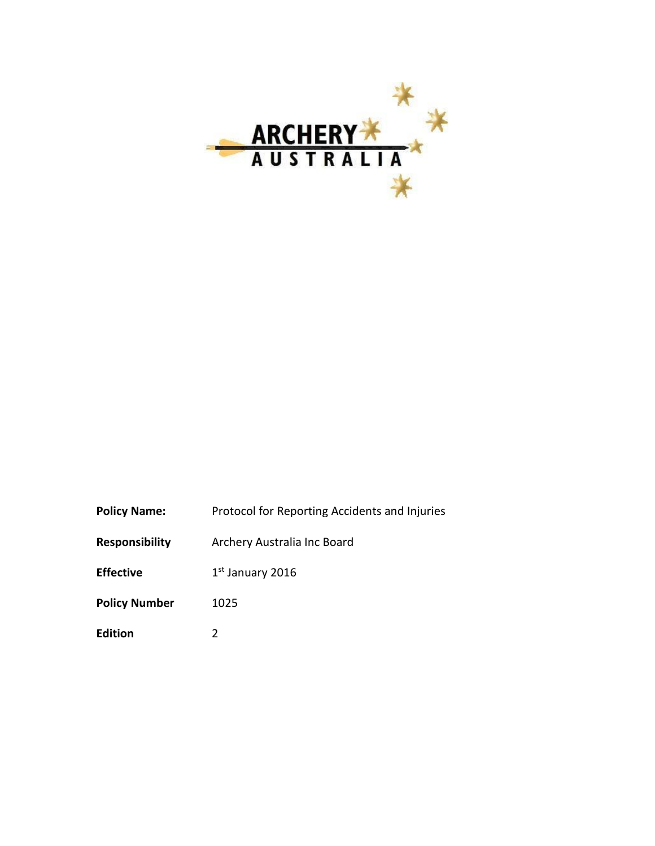

| <b>Policy Name:</b><br>Protocol for Reporting Accidents and Injuries |  |
|----------------------------------------------------------------------|--|
|----------------------------------------------------------------------|--|

**Responsibility** Archery Australia Inc Board

**Effective**  $1<sup>st</sup>$  January 2016

- Policy Number 1025
- **Edition** 2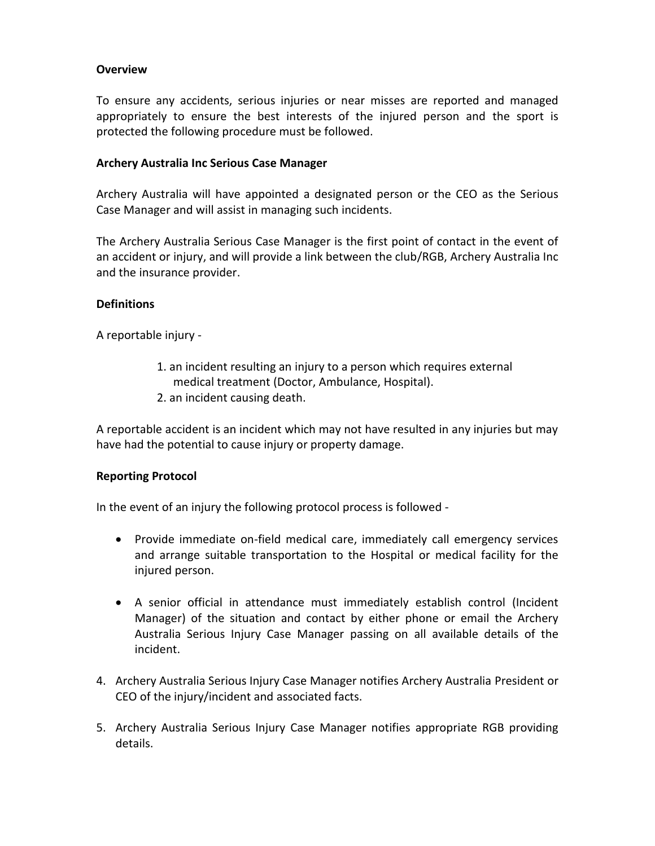# **Overview**

To ensure any accidents, serious injuries or near misses are reported and managed appropriately to ensure the best interests of the injured person and the sport is protected the following procedure must be followed.

## **Archery Australia Inc Serious Case Manager**

Archery Australia will have appointed a designated person or the CEO as the Serious Case Manager and will assist in managing such incidents.

The Archery Australia Serious Case Manager is the first point of contact in the event of an accident or injury, and will provide a link between the club/RGB, Archery Australia Inc and the insurance provider.

### **Definitions**

A reportable injury -

- 1. an incident resulting an injury to a person which requires external medical treatment (Doctor, Ambulance, Hospital).
- 2. an incident causing death.

A reportable accident is an incident which may not have resulted in any injuries but may have had the potential to cause injury or property damage.

## **Reporting Protocol**

In the event of an injury the following protocol process is followed -

- Provide immediate on-field medical care, immediately call emergency services and arrange suitable transportation to the Hospital or medical facility for the injured person.
- A senior official in attendance must immediately establish control (Incident Manager) of the situation and contact by either phone or email the Archery Australia Serious Injury Case Manager passing on all available details of the incident.
- 4. Archery Australia Serious Injury Case Manager notifies Archery Australia President or CEO of the injury/incident and associated facts.
- 5. Archery Australia Serious Injury Case Manager notifies appropriate RGB providing details.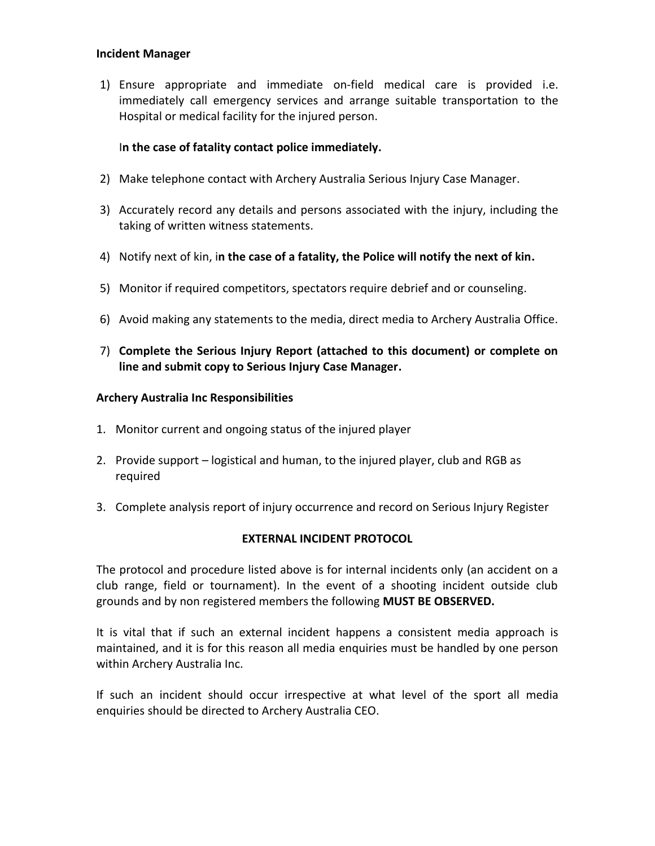#### **Incident Manager**

1) Ensure appropriate and immediate on-field medical care is provided i.e. immediately call emergency services and arrange suitable transportation to the Hospital or medical facility for the injured person.

# I**n the case of fatality contact police immediately.**

- 2) Make telephone contact with Archery Australia Serious Injury Case Manager.
- 3) Accurately record any details and persons associated with the injury, including the taking of written witness statements.
- 4) Notify next of kin, i**n the case of a fatality, the Police will notify the next of kin.**
- 5) Monitor if required competitors, spectators require debrief and or counseling.
- 6) Avoid making any statements to the media, direct media to Archery Australia Office.
- 7) **Complete the Serious Injury Report (attached to this document) or complete on line and submit copy to Serious Injury Case Manager.**

### **Archery Australia Inc Responsibilities**

- 1. Monitor current and ongoing status of the injured player
- 2. Provide support logistical and human, to the injured player, club and RGB as required
- 3. Complete analysis report of injury occurrence and record on Serious Injury Register

## **EXTERNAL INCIDENT PROTOCOL**

The protocol and procedure listed above is for internal incidents only (an accident on a club range, field or tournament). In the event of a shooting incident outside club grounds and by non registered members the following **MUST BE OBSERVED.**

It is vital that if such an external incident happens a consistent media approach is maintained, and it is for this reason all media enquiries must be handled by one person within Archery Australia Inc.

If such an incident should occur irrespective at what level of the sport all media enquiries should be directed to Archery Australia CEO.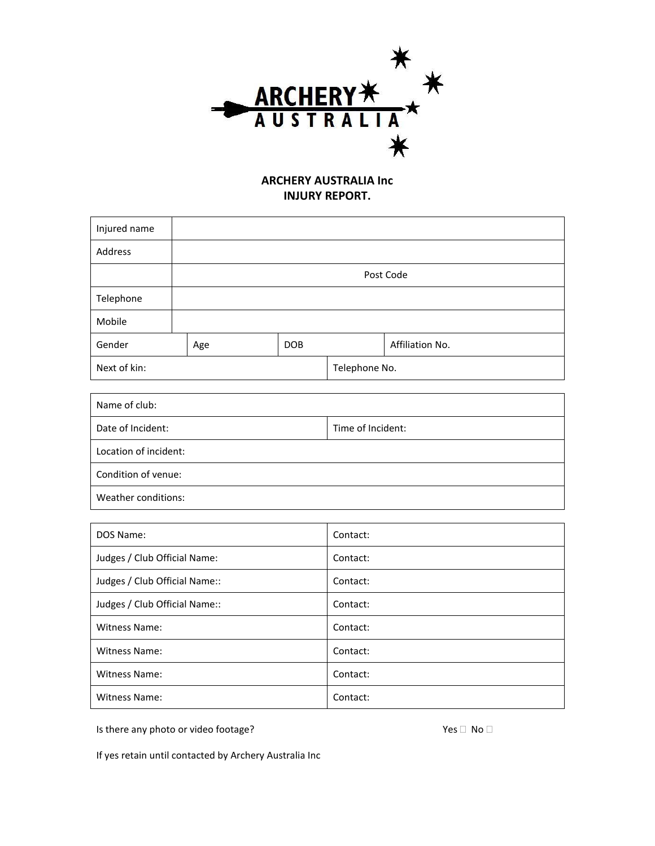

# **ARCHERY AUSTRALIA Inc INJURY REPORT.**

| Injured name |     |            |               |                 |  |
|--------------|-----|------------|---------------|-----------------|--|
| Address      |     |            |               |                 |  |
|              |     |            |               | Post Code       |  |
| Telephone    |     |            |               |                 |  |
| Mobile       |     |            |               |                 |  |
| Gender       | Age | <b>DOB</b> |               | Affiliation No. |  |
| Next of kin: |     |            | Telephone No. |                 |  |

| Name of club:         |                   |
|-----------------------|-------------------|
| Date of Incident:     | Time of Incident: |
| Location of incident: |                   |
| Condition of venue:   |                   |
| Weather conditions:   |                   |

| DOS Name:                     | Contact: |
|-------------------------------|----------|
| Judges / Club Official Name:  | Contact: |
| Judges / Club Official Name:: | Contact: |
| Judges / Club Official Name:: | Contact: |
| <b>Witness Name:</b>          | Contact: |
| Witness Name:                 | Contact: |
| Witness Name:                 | Contact: |
| Witness Name:                 | Contact: |

Is there any photo or video footage?  $Yes \Box \ No \Box$ 

If yes retain until contacted by Archery Australia Inc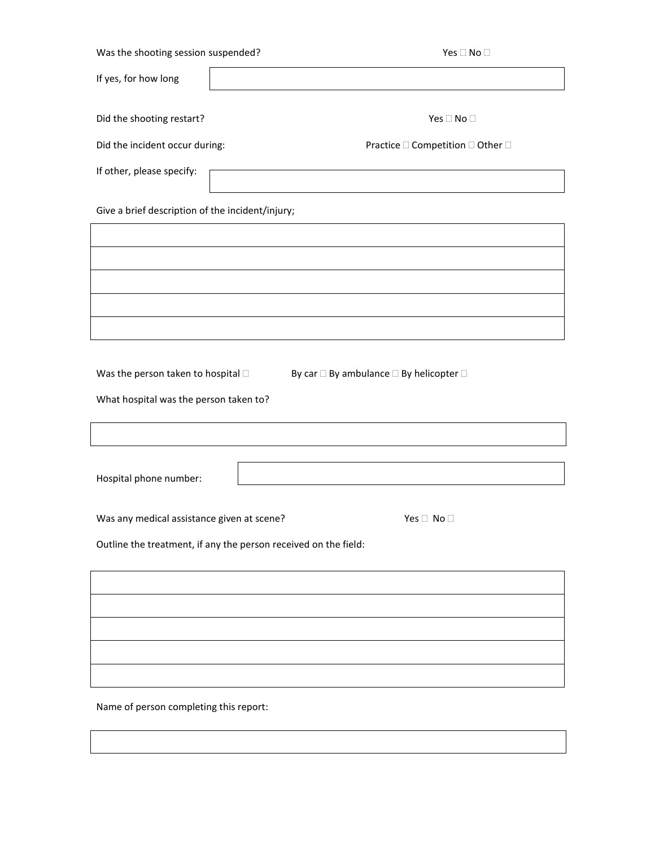| If yes, for how long                                                                 |                                                                 |
|--------------------------------------------------------------------------------------|-----------------------------------------------------------------|
| Did the shooting restart?                                                            | Yes $\square$ No $\square$                                      |
| Did the incident occur during:                                                       | Practice $\square$ Competition $\square$ Other $\square$        |
| If other, please specify:                                                            |                                                                 |
| Give a brief description of the incident/injury;                                     |                                                                 |
|                                                                                      |                                                                 |
|                                                                                      |                                                                 |
|                                                                                      |                                                                 |
|                                                                                      |                                                                 |
| Was the person taken to hospital $\square$<br>What hospital was the person taken to? | By car $\square$ By ambulance $\square$ By helicopter $\square$ |
|                                                                                      |                                                                 |
| Hospital phone number:                                                               |                                                                 |
| Was any medical assistance given at scene?                                           | Yes $\Box$ No $\Box$                                            |
|                                                                                      | Outline the treatment, if any the person received on the field: |
|                                                                                      |                                                                 |
|                                                                                      |                                                                 |
|                                                                                      |                                                                 |
|                                                                                      |                                                                 |
|                                                                                      |                                                                 |

Name of person completing this report: